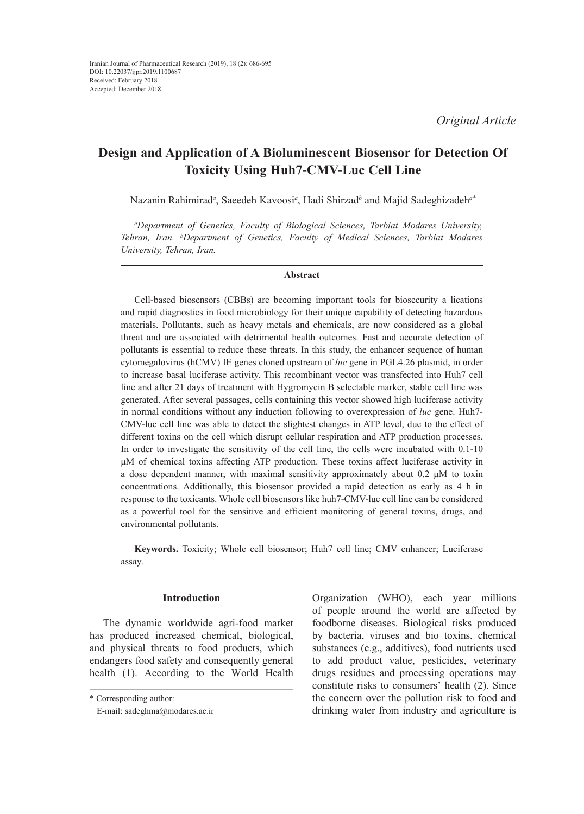# **Design and Application of A Bioluminescent Biosensor for Detection Of Toxicity Using Huh7-CMV-Luc Cell Line**

Nazanin Rahimirad*<sup>a</sup>* , Saeedeh Kavoosi*<sup>a</sup>* , Hadi Shirzad*<sup>b</sup>* and Majid Sadeghizadeh*a\**

*a Department of Genetics, Faculty of Biological Sciences, Tarbiat Modares University, Tehran, Iran. b Department of Genetics, Faculty of Medical Sciences, Tarbiat Modares University, Tehran, Iran.*

#### **Abstract**

Cell-based biosensors (CBBs) are becoming important tools for biosecurity a lications and rapid diagnostics in food microbiology for their unique capability of detecting hazardous materials. Pollutants, such as heavy metals and chemicals, are now considered as a global threat and are associated with detrimental health outcomes. Fast and accurate detection of pollutants is essential to reduce these threats. In this study, the enhancer sequence of human cytomegalovirus (hCMV) IE genes cloned upstream of *luc* gene in PGL4.26 plasmid, in order to increase basal luciferase activity. This recombinant vector was transfected into Huh7 cell line and after 21 days of treatment with Hygromycin B selectable marker, stable cell line was generated. After several passages, cells containing this vector showed high luciferase activity in normal conditions without any induction following to overexpression of *luc* gene. Huh7- CMV-luc cell line was able to detect the slightest changes in ATP level, due to the effect of different toxins on the cell which disrupt cellular respiration and ATP production processes. In order to investigate the sensitivity of the cell line, the cells were incubated with 0.1-10 μM of chemical toxins affecting ATP production. These toxins affect luciferase activity in a dose dependent manner, with maximal sensitivity approximately about 0.2 μM to toxin concentrations. Additionally, this biosensor provided a rapid detection as early as 4 h in response to the toxicants. Whole cell biosensors like huh7-CMV-luc cell line can be considered as a powerful tool for the sensitive and efficient monitoring of general toxins, drugs, and environmental pollutants.

**Keywords.** Toxicity; Whole cell biosensor; Huh7 cell line; CMV enhancer; Luciferase assay.

## **Introduction**

The dynamic worldwide agri-food market has produced increased chemical, biological, and physical threats to food products, which endangers food safety and consequently general health (1). According to the World Health

Organization (WHO), each year millions of people around the world are affected by foodborne diseases. Biological risks produced by bacteria, viruses and bio toxins, chemical substances (e.g., additives), food nutrients used to add product value, pesticides, veterinary drugs residues and processing operations may constitute risks to consumers' health (2). Since the concern over the pollution risk to food and drinking water from industry and agriculture is

<sup>\*</sup> Corresponding author:

E-mail: sadeghma@modares.ac.ir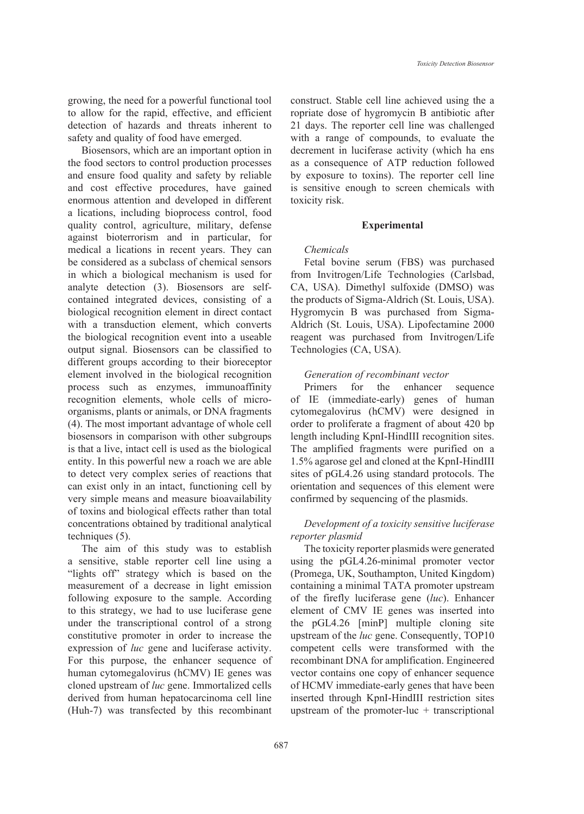growing, the need for a powerful functional tool to allow for the rapid, effective, and efficient detection of hazards and threats inherent to safety and quality of food have emerged.

Biosensors, which are an important option in the food sectors to control production processes and ensure food quality and safety by reliable and cost effective procedures, have gained enormous attention and developed in different a lications, including bioprocess control, food quality control, agriculture, military, defense against bioterrorism and in particular, for medical a lications in recent years. They can be considered as a subclass of chemical sensors in which a biological mechanism is used for analyte detection (3). Biosensors are selfcontained integrated devices, consisting of a biological recognition element in direct contact with a transduction element, which converts the biological recognition event into a useable output signal. Biosensors can be classified to different groups according to their bioreceptor element involved in the biological recognition process such as enzymes, immunoaffinity recognition elements, whole cells of microorganisms, plants or animals, or DNA fragments (4). The most important advantage of whole cell biosensors in comparison with other subgroups is that a live, intact cell is used as the biological entity. In this powerful new a roach we are able to detect very complex series of reactions that can exist only in an intact, functioning cell by very simple means and measure bioavailability of toxins and biological effects rather than total concentrations obtained by traditional analytical techniques (5).

The aim of this study was to establish a sensitive, stable reporter cell line using a "lights off" strategy which is based on the measurement of a decrease in light emission following exposure to the sample. According to this strategy, we had to use luciferase gene under the transcriptional control of a strong constitutive promoter in order to increase the expression of *luc* gene and luciferase activity. For this purpose, the enhancer sequence of human cytomegalovirus (hCMV) IE genes was cloned upstream of *luc* gene. Immortalized cells derived from human hepatocarcinoma cell line (Huh-7) was transfected by this recombinant construct. Stable cell line achieved using the a ropriate dose of hygromycin B antibiotic after 21 days. The reporter cell line was challenged with a range of compounds, to evaluate the decrement in luciferase activity (which ha ens as a consequence of ATP reduction followed by exposure to toxins). The reporter cell line is sensitive enough to screen chemicals with toxicity risk.

#### **Experimental**

### *Chemicals*

Fetal bovine serum (FBS) was purchased from Invitrogen/Life Technologies (Carlsbad, CA, USA). Dimethyl sulfoxide (DMSO) was the products of Sigma-Aldrich (St. Louis, USA). Hygromycin B was purchased from Sigma-Aldrich (St. Louis, USA). Lipofectamine 2000 reagent was purchased from Invitrogen/Life Technologies (CA, USA).

#### *Generation of recombinant vector*

Primers for the enhancer sequence of IE (immediate-early) genes of human cytomegalovirus (hCMV) were designed in order to proliferate a fragment of about 420 bp length including KpnI-HindIII recognition sites. The amplified fragments were purified on a 1.5% agarose gel and cloned at the KpnI-HindIII sites of pGL4.26 using standard protocols. The orientation and sequences of this element were confirmed by sequencing of the plasmids.

## *Development of a toxicity sensitive luciferase reporter plasmid*

The toxicity reporter plasmids were generated using the pGL4.26-minimal promoter vector (Promega, UK, Southampton, United Kingdom) containing a minimal TATA promoter upstream of the firefly luciferase gene (*luc*). Enhancer element of CMV IE genes was inserted into the pGL4.26 [minP] multiple cloning site upstream of the *luc* gene. Consequently, TOP10 competent cells were transformed with the recombinant DNA for amplification. Engineered vector contains one copy of enhancer sequence of HCMV immediate-early genes that have been inserted through KpnI-HindIII restriction sites upstream of the promoter-luc  $+$  transcriptional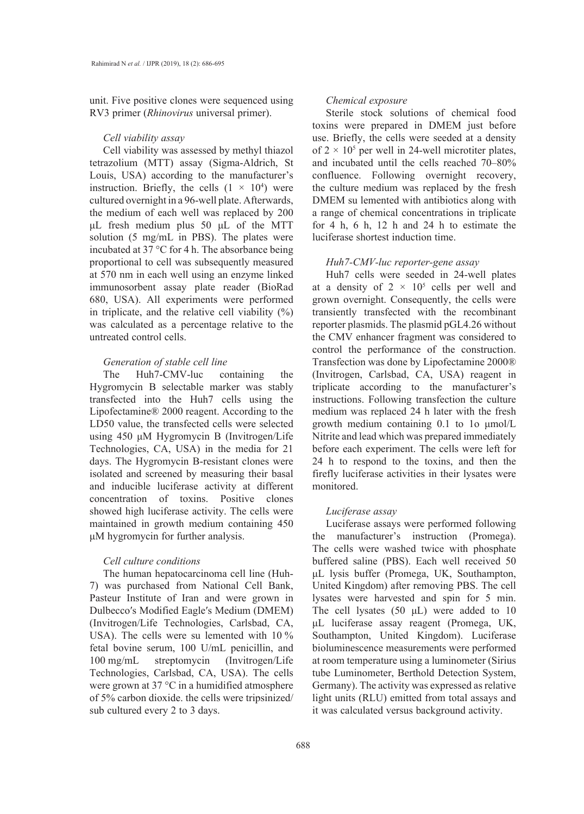unit. Five positive clones were sequenced using RV3 primer (*Rhinovirus* universal primer).

#### *Cell viability assay*

Cell viability was assessed by methyl thiazol tetrazolium (MTT) assay (Sigma-Aldrich, St Louis, USA) according to the manufacturer's instruction. Briefly, the cells  $(1 \times 10^4)$  were cultured overnight in a 96-well plate. Afterwards, the medium of each well was replaced by 200 μL fresh medium plus 50 μL of the MTT solution (5 mg/mL in PBS). The plates were incubated at 37 °C for 4 h. The absorbance being proportional to cell was subsequently measured at 570 nm in each well using an enzyme linked immunosorbent assay plate reader (BioRad 680, USA). All experiments were performed in triplicate, and the relative cell viability  $(\%)$ was calculated as a percentage relative to the untreated control cells.

#### *Generation of stable cell line*

The Huh7-CMV-luc containing the Hygromycin B selectable marker was stably transfected into the Huh7 cells using the Lipofectamine® 2000 reagent. According to the LD50 value, the transfected cells were selected using 450 μM Hygromycin B (Invitrogen/Life Technologies, CA, USA) in the media for 21 days. The Hygromycin B-resistant clones were isolated and screened by measuring their basal and inducible luciferase activity at different concentration of toxins. Positive clones showed high luciferase activity. The cells were maintained in growth medium containing 450 μM hygromycin for further analysis.

### *Cell culture conditions*

The human hepatocarcinoma cell line (Huh-7) was purchased from National Cell Bank, Pasteur Institute of Iran and were grown in Dulbecco′s Modified Eagle′s Medium (DMEM) (Invitrogen/Life Technologies, Carlsbad, CA, USA). The cells were su lemented with 10 % fetal bovine serum, 100 U/mL penicillin, and 100 mg/mL streptomycin (Invitrogen/Life Technologies, Carlsbad, CA, USA). The cells were grown at 37 °C in a humidified atmosphere of 5% carbon dioxide. the cells were tripsinized/ sub cultured every 2 to 3 days.

#### *Chemical exposure*

Sterile stock solutions of chemical food toxins were prepared in DMEM just before use. Briefly, the cells were seeded at a density of  $2 \times 10^5$  per well in 24-well microtiter plates, and incubated until the cells reached 70–80% confluence. Following overnight recovery, the culture medium was replaced by the fresh DMEM su lemented with antibiotics along with a range of chemical concentrations in triplicate for 4 h, 6 h, 12 h and 24 h to estimate the luciferase shortest induction time.

#### *Huh7-CMV-luc reporter-gene assay*

Huh7 cells were seeded in 24-well plates at a density of  $2 \times 10^5$  cells per well and grown overnight. Consequently, the cells were transiently transfected with the recombinant reporter plasmids. The plasmid pGL4.26 without the CMV enhancer fragment was considered to control the performance of the construction. Transfection was done by Lipofectamine 2000® (Invitrogen, Carlsbad, CA, USA) reagent in triplicate according to the manufacturer's instructions. Following transfection the culture medium was replaced 24 h later with the fresh growth medium containing 0.1 to 1o μmol/L Nitrite and lead which was prepared immediately before each experiment. The cells were left for 24 h to respond to the toxins, and then the firefly luciferase activities in their lysates were monitored.

#### *Luciferase assay*

Luciferase assays were performed following the manufacturer's instruction (Promega). The cells were washed twice with phosphate buffered saline (PBS). Each well received 50 μL lysis buffer (Promega, UK, Southampton, United Kingdom) after removing PBS. The cell lysates were harvested and spin for 5 min. The cell lysates (50 μL) were added to 10 μL luciferase assay reagent (Promega, UK, Southampton, United Kingdom). Luciferase bioluminescence measurements were performed at room temperature using a luminometer (Sirius tube Luminometer, Berthold Detection System, Germany). The activity was expressed as relative light units (RLU) emitted from total assays and it was calculated versus background activity.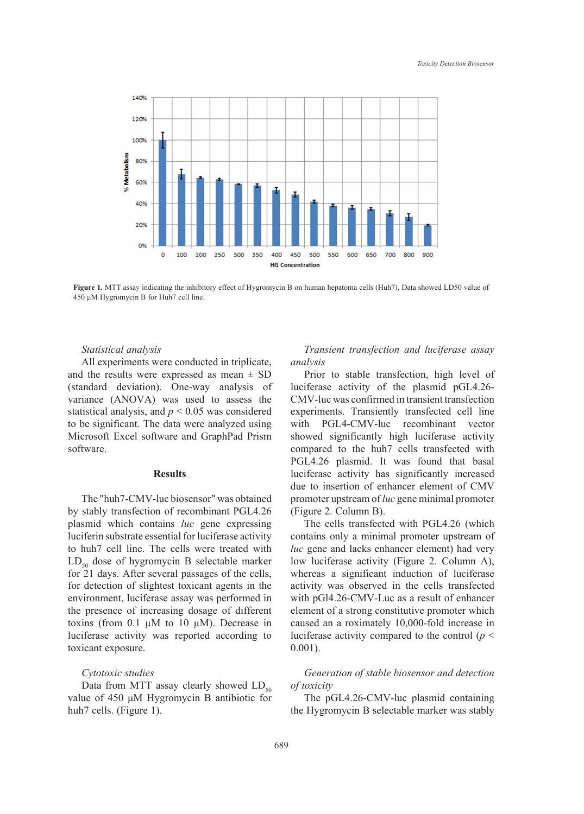

**Figure 1**. MTT assay indicating the inhibitory effect of Hygromycin B on human **Figure 1.** MTT assay indicating the inhibitory effect of Hygromycin B on human hepatoma cells (Huh7). Data showed LD50 value of 450 μM Hygromycin B for Huh7 cell line.

## *Statistical analysis Transient transfection and luciferase assay analysis*

All experiments were conducted in triplicate, *analysis*<br>Level of lucifieras activities and plasmid of the plasmid of the plasmid of the plasmid of the plasmid of the p and the results were expressed as mean  $\pm$  SD  $\frac{d}{dx}$  (standard deviation). One-way analysis of luciferase activity of the plasmid p variance (ANOVA) was used to assess the CMV-luc was confirmed in transient transfer statistical analysis, and  $p < 0.05$  was considered experiments. Transiently transfected to be significant. The data were analyzed using with PGL4-CMV-luc recombinant Microsoft Excel software and GraphPad Prism showed significantly high luciferase software.  $\mathcal{C}^{\text{c}}$ 

#### **Results**

The "huh7-CMV-luc biosensor" was obtained by stably transfection of recombinant PGL4.26 (Figure 2. Column B). plasmid which contains *luc* gene expressing The cells transfected with PGL4.2 luciferin substrate essential for luciferase activity contains only a minimal p to huh7 cell line. The cells were treated with  $LD_{50}$  dose of hygromycin B selectable marker for 21 days. After several passages of the cells, for detection of slightest toxicant agents in the environment, luciferase assay was performed in the presence of increasing dosage of different toxins (from  $0.1 \mu M$  to  $10 \mu M$ ). Decrease in luciferase activity was reported according to toxicant exposure.

### *Cytotoxic studies*

Data from MTT assay clearly showed  $LD_{50}$ value of 450 μM Hygromycin B antibiotic for huh7 cells. (Figure 1).

## *Transient transfection and luciferase assay analysis*

Prior to stable transfection, high level of luciferase activity of the plasmid pGL4.26- CMV-luc was confirmed in transient transfection experiments. Transiently transfected cell line with PGL4-CMV-luc recombinant vector showed significantly high luciferase activity compared to the huh7 cells transfected with PGL4.26 plasmid. It was found that basal **Results** luciferase activity has significantly increased luciferase activity has significantly increased due to insertion of enhancer element of CMV  $\frac{1}{2}$ ,  $\frac{1}{2}$  CMV  $\frac{1}{2}$ promoter upstream of *luc* gene minimal promoter (Figure 2. Column B).

> The cells transfected with PGL4.26 (which contains only a minimal promoter upstream of *luc* gene and lacks enhancer element) had very low luciferase activity (Figure 2. Column A), whereas a significant induction of luciferase activity was observed in the cells transfected with pGl4.26-CMV-Luc as a result of enhancer element of a strong constitutive promoter which caused an a roximately 10,000-fold increase in luciferase activity compared to the control  $(p <$ 0.001).

> *Generation of stable biosensor and detection of toxicity*

> The pGL4.26-CMV-luc plasmid containing the Hygromycin B selectable marker was stably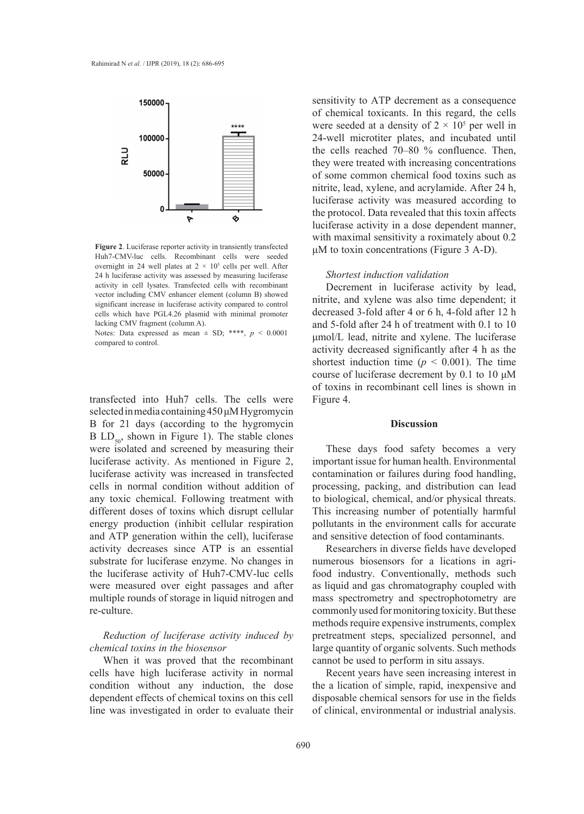

**Figure 2**. Luciferase reporter activity in transiently transfected  $\frac{1}{M}$  to toxin c Huh7-CMV-luc cells. Recombinant cells were seeded **plates at 2** × 10 **u** overnight in 24 well plates at  $2 \times 10^5$  cells per well. After  $\Omega_4$  h luciferese activity was assessed by measuring luciferese activity in cell lysates. Transfected cells with recombinant Decrement vector including CMV enhancer element (column B) showed nitrite, and x cells which have PGL4.26 plasmid with minimal promoter decreased 3-fo 24 h luciferase activity was assessed by measuring luciferase significant increase in luciferase activity compared to control lacking CMV fragment (column A).

lacking CMV fragment (column A). Notes: Data expressed as mean ± SD; \*\*\*\*, *p* < 0.0001  $\mu$ mol/L lead

transfected into Huh7 cells. The cells were Figure 4. selected in media containing  $450 \mu$ M Hygromycin  $\overline{B}$  for 21 days (according to the hygromycin  $BLD_{50}$ , shown in Figure 1). The stable clones were isolated and screened by measuring their  $\frac{1}{2}$  luciferase activity. As mentioned in Figure 2, important issue increased in Figure 2, luciferase activity was increased in transfected contamination of cells in normal condition without addition of processing, pac any toxic chemical. Following treatment with to biological, ch different doses of toxins which disrupt cellular This increasing energy production (inhibit cellular respiration pollutants in the and ATP generation within the cell), luciferase and ATT generation within the cent, identically and sensitive de<br>activity decreases since ATP is an essential Researchers substrate for luciferase enzyme. No changes in the luciferase activity of Huh7-CMV-luc cells were measured over eight passages and after multiple rounds of storage in liquid nitrogen and 8 re-culture.

## *Reduction of luciferase activity induced by chemical toxins in the biosensor*

When it was proved that the recombinant cells have high luciferase activity in normal condition without any induction, the dose dependent effects of chemical toxins on this cell line was investigated in order to evaluate their sensitivity to ATP decrement as a consequence of chemical toxicants. In this regard, the cells were seeded at a density of  $2 \times 10^5$  per well in 24-well microtiter plates, and incubated until the cells reached 70–80 % confluence. Then, they were treated with increasing concentrations of some common chemical food toxins such as nitrite, lead, xylene, and acrylamide. After 24 h, luciferase activity was measured according to the protocol. Data revealed that this toxin affects luciferase activity in a dose dependent manner, with maximal sensitivity a roximately about 0.2  $\mu$ M to toxin concentrations (Figure 3 A-D).

#### *Shortest induction validation*

Decrement in luciferase activity by lead, nitrite, and xylene was also time dependent; it decreased 3-fold after 4 or 6 h, 4-fold after 12 h and 5-fold after 24 h of treatment with 0.1 to 10 μmol/L lead, nitrite and xylene. The luciferase activity decreased significantly after 4 h as the shortest induction time ( $p < 0.001$ ). The time course of luciferase decrement by 0.1 to 10 μM of toxins in recombinant cell lines is shown in Figure 4.

## **Discussion**

These days food safety becomes a very important issue for human health. Environmental contamination or failures during food handling, processing, packing, and distribution can lead to biological, chemical, and/or physical threats. This increasing number of potentially harmful pollutants in the environment calls for accurate and sensitive detection of food contaminants.

Researchers in diverse fields have developed numerous biosensors for a lications in agrifood industry. Conventionally, methods such as liquid and gas chromatography coupled with mass spectrometry and spectrophotometry are commonly used for monitoring toxicity. But these methods require expensive instruments, complex pretreatment steps, specialized personnel, and large quantity of organic solvents. Such methods cannot be used to perform in situ assays.

Recent years have seen increasing interest in the a lication of simple, rapid, inexpensive and disposable chemical sensors for use in the fields of clinical, environmental or industrial analysis.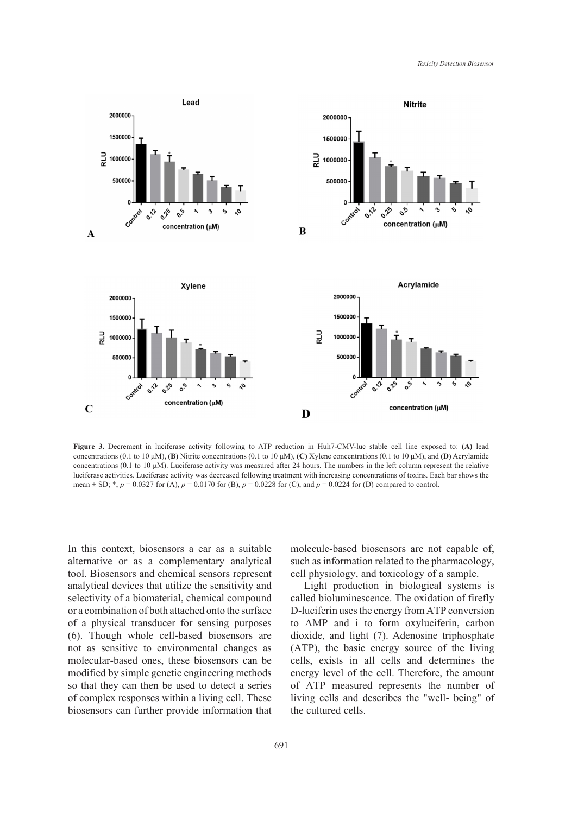

concentrations (0.1 to 10  $\mu$ M), (B) Nitrite concentrations (0.1 to 10  $\mu$ M), (C) Xylene concentrations (0.1 to 10  $\mu$ M), and (D) Acrylamide luciferase activities. Luciferase activity was decreased following treatment with increasing concentrations of toxins. Each bar shows the  $N_{\text{max}}$ ,  $N_{\text{max}}$ ,  $C_{\text{max}}$  ( $C$ )  $\text{sum}_{i=1}^{N}$  and  $C_{\text{max}}$ **Figure 3.** Decrement in luciferase activity following to ATP reduction in Huh7-CMV-luc stable cell line exposed to: **(A)** lead concentrations (0.1 to 10 μM). Luciferase activity was measured after 24 hours. The numbers in the left column represent the relative mean ± SD; \*, *p* = 0.0327 for (A), *p* = 0.0170 for (B), *p* = 0.0228 for (C), and *p* = 0.0224 for (D) compared to control.

In this context, biosensors a ear as a suitable alternative or as a complementary analytical tool. Biosensors and chemical sensors represent analytical devices that utilize the sensitivity and selectivity of a biomaterial, chemical compound or a combination of both attached onto the surface of a physical transducer for sensing purposes (6). Though whole cell-based biosensors are not as sensitive to environmental changes as molecular-based ones, these biosensors can be modified by simple genetic engineering methods so that they can then be used to detect a series of complex responses within a living cell. These biosensors can further provide information that for (A), *p* = 0.0170 for (B), *p* = 0.0228 for (C), and *p* = 0.0224 for (D) compared to

molecule-based biosensors are not capable of, such as information related to the pharmacology, such as information related to the pharmacology,<br>cell physiology, and toxicology of a sample.

Light production in biological systems is tivity of a biomaterial, chemical compound called bioluminescence. The oxidation of firefly ombination of both attached onto the surface D-luciferin uses the energy from ATP conversion to AMP and i to form oxyluciferin, carbon Fright dimension of strange purposes to their time it to term engineering, the one of the concentrations (The 10 m), and  $\frac{1}{2}$  and  $\frac{1}{2}$  and  $\frac{1}{2}$  and  $\frac{1}{2}$  and  $\frac{1}{2}$  are concentrations (1). Adenosine t bugh whole cen-based biosensors are dioxide, and fight (*i*). Adenosine triphosphate sensitive to environmental changes as (ATP), the basic energy source of the living cells, exists in all cells and determines the measured and the cells, these consenses and the cells, causes in the cells and determines the relative measured by simple genetic engineering methods energy level of the cell. Therefore, the amount dependent; it depends the process are the sent of the centrelected at the sent they can then be used to detect a series of ATP measured represents the number of omplex responses within a living cell. These living cells and describes the "well- being" of ansors can further provide information that the outbread cells the cultured cells. decreased significantly after 4 h as the shortest induction time  $\alpha$  as the shortest induction time (*p*  $\alpha$ ). The shortest induction time (*p*  $\alpha$ ). The shortest induction time (*p*  $\alpha$ ). The shortest induction time (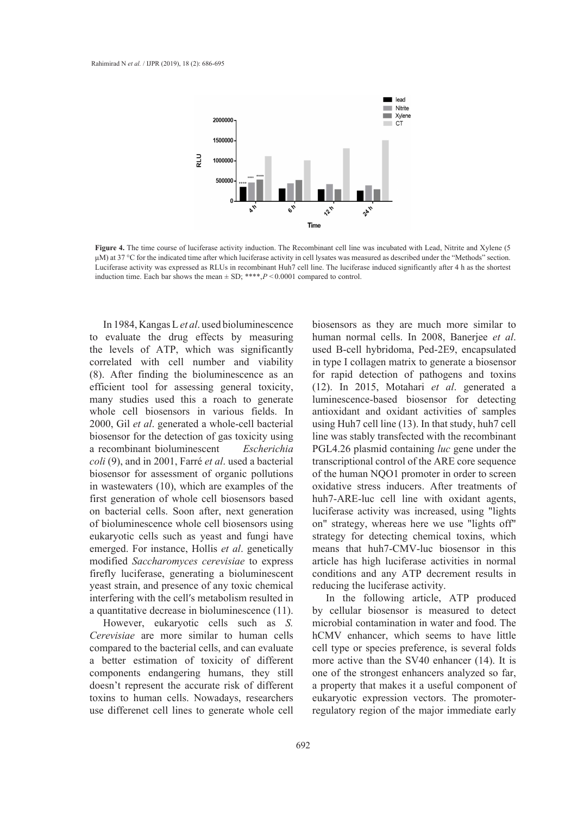

μινι) at 37 °C for the marcated time after which fuctionase activity in cell fysates was measured as described under the Methods Section.<br>Luciferase activity was expressed as RLUs in recombinant Huh7 cell line. The lucife induction time. Each bar shows the mean  $\pm$  SD; \*\*\*\*,*P* < 0.0001 compared to control. **Figure 4.** The time course of luciferase activity induction. The Recombinant cell line was incubated with Lead, Nitrite and Xylene (5 μM) at 37 °C for the indicated time after which luciferase activity in cell lysates was measured as described under the "Methods" section.

In 1984, Kangas L*et al*. used bioluminescence to evaluate the drug effects by measuring the levels of ATP, which was significantly correlated with cell number and viability (8). After finding the bioluminescence as an efficient tool for assessing general toxicity, many studies used this a roach to generate whole cell biosensors in various fields. In 2000, Gil *et al*. generated a whole-cell bacterial biosensor for the detection of gas toxicity using a recombinant bioluminescent *Escherichia coli* (9), and in 2001, Farré *et al*. used a bacterial transcriptional biosensor for assessment of organic pollutions in wastewaters (10), which are examples of the first generation of whole cell biosensors based on bacterial cells. Soon after, next generation of bioluminescence whole cell biosensors using eukaryotic cells such as yeast and fungi have strategy for detecting chemical emerged. For instance, Hollis *et al*. genetically modified *Saccharomyces cerevisiae* to express firefly luciferase, generating a bioluminescent yeast strain, and presence of any toxic chemical interfering with the cell′s metabolism resulted in a quantitative decrease in bioluminescence (11).

However, eukaryotic cells such as *S. Cerevisiae* are more similar to human cells compared to the bacterial cells, and can evaluate a better estimation of toxicity of different components endangering humans, they still doesn't represent the accurate risk of different toxins to human cells. Nowadays, researchers use differenet cell lines to generate whole cell

Langas L et al. used bioluminescence biosensors as they are much more similar to the drug effects by measuring human normal cells. In 2008, Banerjee et al. y used B-cell hybridoma, Ped-2E9, encapsulated in type I collagen matrix to generate a biosensor for rapid detection of pathogens and toxins ity, (12). In 2015, Motahari et al. generated a tudies used this a roach to generate luminescence-based biosensor for detecting cell biosensors in various fields. In antioxidant and oxidant activities of samples il *et al.* generated a whole-cell bacterial using Huh7 cell line  $(13)$ . In that study, huh7 cell Increase to the detection of gas toxicity using line was stably transfected with the recombinant PGL4.26 plasmid containing *luc* gene under the transcriptional control of the ARE core sequence of the human NQO1 promoter in order to screen in the field of the human NQO1 promoter in order to screen waters (10), which are examples of the oxidative stress inducers. After treatments of eration of whole cell biosensors based huh7-ARE-luc cell line with oxidant agents, erial cells. Soon after, next generation huciferase activity was increased, using "lights minescence whole cell biosensors using on" strategy, whereas here we use "lights off" strategy for detecting chemical toxins, which means that huh7-CMV-luc biosensor in this article has high luciferase activities in normal conditions and any ATP decrement results in reducing the luciferase activity.

> In the following article, ATP produced by cellular biosensor is measured to detect microbial contamination in water and food. The hCMV enhancer, which seems to have little cell type or species preference, is several folds more active than the SV40 enhancer (14). It is one of the strongest enhancers analyzed so far, a property that makes it a useful component of eukaryotic expression vectors. The promoterregulatory region of the major immediate early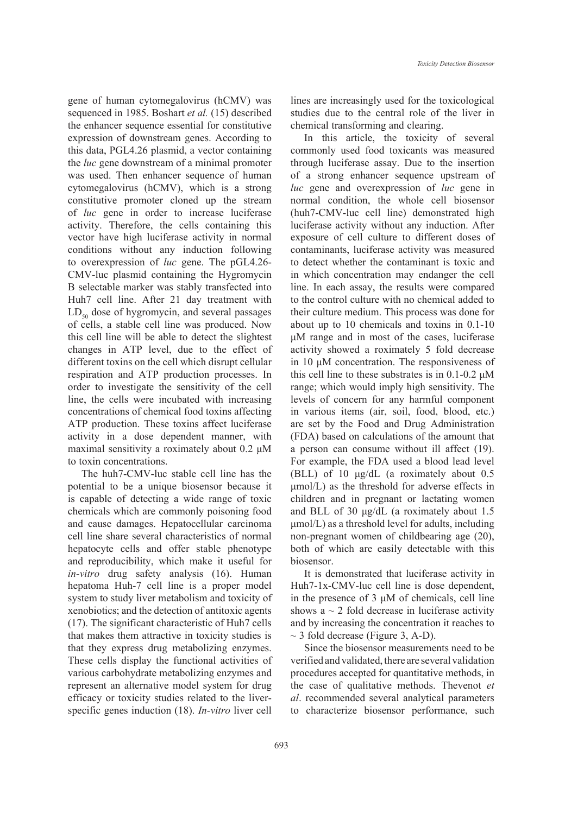gene of human cytomegalovirus (hCMV) was sequenced in 1985. Boshart *et al.* (15) described the enhancer sequence essential for constitutive expression of downstream genes. According to this data, PGL4.26 plasmid, a vector containing the *luc* gene downstream of a minimal promoter was used. Then enhancer sequence of human cytomegalovirus (hCMV), which is a strong constitutive promoter cloned up the stream of *luc* gene in order to increase luciferase activity. Therefore, the cells containing this vector have high luciferase activity in normal conditions without any induction following to overexpression of *luc* gene. The pGL4.26- CMV-luc plasmid containing the Hygromycin B selectable marker was stably transfected into Huh7 cell line. After 21 day treatment with  $LD_{50}$  dose of hygromycin, and several passages of cells, a stable cell line was produced. Now this cell line will be able to detect the slightest changes in ATP level, due to the effect of different toxins on the cell which disrupt cellular respiration and ATP production processes. In order to investigate the sensitivity of the cell line, the cells were incubated with increasing concentrations of chemical food toxins affecting ATP production. These toxins affect luciferase activity in a dose dependent manner, with maximal sensitivity a roximately about 0.2 μM to toxin concentrations.

The huh7-CMV-luc stable cell line has the potential to be a unique biosensor because it is capable of detecting a wide range of toxic chemicals which are commonly poisoning food and cause damages. Hepatocellular carcinoma cell line share several characteristics of normal hepatocyte cells and offer stable phenotype and reproducibility, which make it useful for *in-vitro* drug safety analysis (16). Human hepatoma Huh-7 cell line is a proper model system to study liver metabolism and toxicity of xenobiotics; and the detection of antitoxic agents (17). The significant characteristic of Huh7 cells that makes them attractive in toxicity studies is that they express drug metabolizing enzymes. These cells display the functional activities of various carbohydrate metabolizing enzymes and represent an alternative model system for drug efficacy or toxicity studies related to the liverspecific genes induction (18). *In-vitro* liver cell lines are increasingly used for the toxicological studies due to the central role of the liver in chemical transforming and clearing.

In this article, the toxicity of several commonly used food toxicants was measured through luciferase assay. Due to the insertion of a strong enhancer sequence upstream of *luc* gene and overexpression of *luc* gene in normal condition, the whole cell biosensor (huh7-CMV-luc cell line) demonstrated high luciferase activity without any induction. After exposure of cell culture to different doses of contaminants, luciferase activity was measured to detect whether the contaminant is toxic and in which concentration may endanger the cell line. In each assay, the results were compared to the control culture with no chemical added to their culture medium. This process was done for about up to 10 chemicals and toxins in 0.1-10 μM range and in most of the cases, luciferase activity showed a roximately 5 fold decrease in 10 μM concentration. The responsiveness of this cell line to these substrates is in  $0.1$ - $0.2 \mu M$ range; which would imply high sensitivity. The levels of concern for any harmful component in various items (air, soil, food, blood, etc.) are set by the Food and Drug Administration (FDA) based on calculations of the amount that a person can consume without ill affect (19). For example, the FDA used a blood lead level (BLL) of 10 μg/dL (a roximately about 0.5 μmol/L) as the threshold for adverse effects in children and in pregnant or lactating women and BLL of 30 μg/dL (a roximately about 1.5 μmol/L) as a threshold level for adults, including non-pregnant women of childbearing age (20), both of which are easily detectable with this biosensor.

It is demonstrated that luciferase activity in Huh7-1x-CMV-luc cell line is dose dependent, in the presence of 3 μM of chemicals, cell line shows  $a \sim 2$  fold decrease in luciferase activity and by increasing the concentration it reaches to  $\sim$  3 fold decrease (Figure 3, A-D).

Since the biosensor measurements need to be verified and validated, there are several validation procedures accepted for quantitative methods, in the case of qualitative methods. Thevenot *et al*. recommended several analytical parameters to characterize biosensor performance, such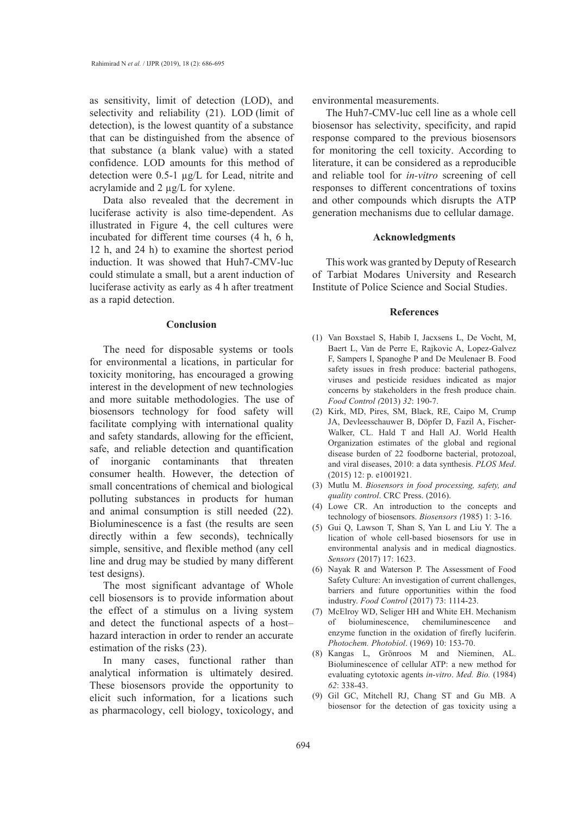as sensitivity, limit of detection (LOD), and selectivity and reliability (21). LOD (limit of detection), is the lowest quantity of a substance that can be distinguished from the absence of that substance (a blank value) with a stated confidence. LOD amounts for this method of detection were 0.5-1 µg/L for Lead, nitrite and acrylamide and 2 µg/L for xylene.

Data also revealed that the decrement in luciferase activity is also time-dependent. As illustrated in Figure 4, the cell cultures were incubated for different time courses (4 h, 6 h, 12 h, and 24 h) to examine the shortest period induction. It was showed that Huh7-CMV-luc could stimulate a small, but a arent induction of luciferase activity as early as 4 h after treatment as a rapid detection.

#### **Conclusion**

The need for disposable systems or tools for environmental a lications, in particular for toxicity monitoring, has encouraged a growing interest in the development of new technologies and more suitable methodologies. The use of biosensors technology for food safety will facilitate complying with international quality and safety standards, allowing for the efficient, safe, and reliable detection and quantification of inorganic contaminants that threaten consumer health. However, the detection of small concentrations of chemical and biological polluting substances in products for human and animal consumption is still needed (22). Bioluminescence is a fast (the results are seen directly within a few seconds), technically simple, sensitive, and flexible method (any cell line and drug may be studied by many different test designs).

The most significant advantage of Whole cell biosensors is to provide information about the effect of a stimulus on a living system and detect the functional aspects of a host– hazard interaction in order to render an accurate estimation of the risks (23).

In many cases, functional rather than analytical information is ultimately desired. These biosensors provide the opportunity to elicit such information, for a lications such as pharmacology, cell biology, toxicology, and

environmental measurements.

The Huh7-CMV-luc cell line as a whole cell biosensor has selectivity, specificity, and rapid response compared to the previous biosensors for monitoring the cell toxicity. According to literature, it can be considered as a reproducible and reliable tool for *in-vitro* screening of cell responses to different concentrations of toxins and other compounds which disrupts the ATP generation mechanisms due to cellular damage.

#### **Acknowledgments**

This work was granted by Deputy of Research of Tarbiat Modares University and Research Institute of Police Science and Social Studies.

#### **References**

- Van Boxstael S, Habib I, Jacxsens L, De Vocht, M, (1) Baert L, Van de Perre E, Rajkovic A, Lopez-Galvez F, Sampers I, Spanoghe P and De Meulenaer B. Food safety issues in fresh produce: bacterial pathogens, viruses and pesticide residues indicated as major concerns by stakeholders in the fresh produce chain. *Food Control (*2013) *32*: 190-7.
- (2) Kirk, MD, Pires, SM, Black, RE, Caipo M, Crump JA, Devleesschauwer B, Döpfer D, Fazil A, Fischer-Walker, CL. Hald T and Hall AJ. World Health Organization estimates of the global and regional disease burden of 22 foodborne bacterial, protozoal, and viral diseases, 2010: a data synthesis. *PLOS Med*. (2015) 12: p. e1001921.
- Mutlu M. *Biosensors in food processing, safety, and*  (3) *quality control*. CRC Press. (2016).
- (4) Lowe CR. An introduction to the concepts and technology of biosensors. *Biosensors (*1985) 1: 3-16.
- (5) Gui Q, Lawson T, Shan S, Yan L and Liu Y. The a lication of whole cell-based biosensors for use in environmental analysis and in medical diagnostics. *Sensors* (2017) 17: 1623.
- (6) Nayak R and Waterson P. The Assessment of Food Safety Culture: An investigation of current challenges, barriers and future opportunities within the food industry. *Food Control* (2017) 73: 1114-23.
- (7) McElroy WD, Seliger HH and White EH. Mechanism of bioluminescence, chemiluminescence and enzyme function in the oxidation of firefly luciferin. *Photochem. Photobiol*. (1969) 10: 153-70.
- Kangas L, Grönroos M and Nieminen, AL. (8) Bioluminescence of cellular ATP: a new method for evaluating cytotoxic agents *in-vitro*. *Med. Bio.* (1984) *62*: 338-43.
- Gil GC, Mitchell RJ, Chang ST and Gu MB. A (9)biosensor for the detection of gas toxicity using a